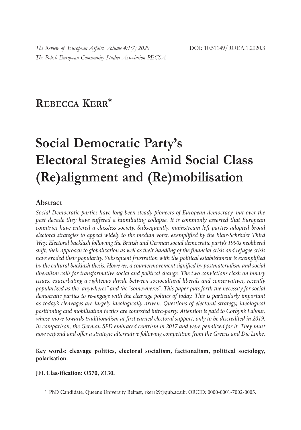## **REBECCA KERR\***

# **Social Democratic Party's Electoral Strategies Amid Social Class (Re)alignment and (Re)mobilisation**

### **Abstract**

*Social Democratic parties have long been steady pioneers of European democracy, but over the past decade they have suffered a humiliating collapse. It is commonly asserted that European countries have entered a classless society. Subsequently, mainstream left parties adopted broad electoral strategies to appeal widely to the median voter, exemplified by the Blair-Schröder Third Way. Electoral backlash following the British and German social democratic party's 1990s neoliberal shift, their approach to globalization as well as their handling of the financial crisis and refugee crisis have eroded their popularity. Subsequent frustration with the political establishment is exemplified by the cultural backlash thesis. However, a countermovement signified by postmaterialism and social liberalism calls for transformative social and political change. The two convictions clash on binary issues, exacerbating a righteous divide between sociocultural liberals and conservatives, recently popularized as the "anywheres" and the "somewheres". This paper puts forth the necessity for social democratic parties to re-engage with the cleavage politics of today. This is particularly important as today's cleavages are largely ideologically driven. Questions of electoral strategy, ideological positioning and mobilisation tactics are contested intra-party. Attention is paid to Corbyn's Labour, whose move towards traditionalism at first earned electoral support, only to be discredited in 2019.*  In comparison, the German SPD embraced centrism in 2017 and were penalized for it. They must *now respond and offer a strategic alternative following competition from the Greens and Die Linke.*

#### **Key words: cleavage politics, electoral socialism, factionalism, political sociology, polarisation.**

#### **JEL Classification: O570, Z130.**

<sup>\*</sup> PhD Candidate, Queen's University Belfast, rkerr29@qub.ac.uk; ORCID: 0000-0001-7002-0005.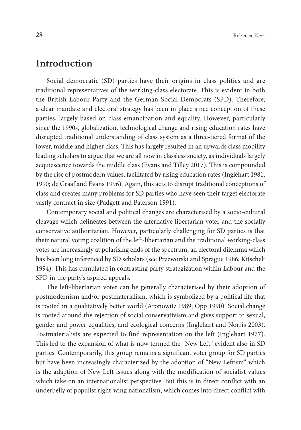### **Introduction**

Social democratic (SD) parties have their origins in class politics and are traditional representatives of the working-class electorate. This is evident in both the British Labour Party and the German Social Democrats (SPD). Therefore, a clear mandate and electoral strategy has been in place since conception of these parties, largely based on class emancipation and equality. However, particularly since the 1990s, globalization, technological change and rising education rates have disrupted traditional understanding of class system as a three-tiered format of the lower, middle and higher class. This has largely resulted in an upwards class mobility leading scholars to argue that we are all now in classless society, as individuals largely acquiescence towards the middle class (Evans and Tilley 2017). This is compounded by the rise of postmodern values, facilitated by rising education rates (Inglehart 1981, 1990; de Graaf and Evans 1996). Again, this acts to disrupt traditional conceptions of class and creates many problems for SD parties who have seen their target electorate vastly contract in size (Padgett and Paterson 1991).

Contemporary social and political changes are characterised by a socio-cultural cleavage which delineates between the alternative libertarian voter and the socially conservative authoritarian. However, particularly challenging for SD parties is that their natural voting coalition of the left-libertarian and the traditional working-class votes are increasingly at polarising ends of the spectrum, an electoral dilemma which has been long inferenced by SD scholars (see Przeworski and Sprague 1986; Kitschelt 1994). This has cumulated in contrasting party strategization within Labour and the SPD in the party's aspired appeals.

The left-libertarian voter can be generally characterised by their adoption of postmodernism and/or postmaterialism, which is symbolized by a political life that is rooted in a qualitatively better world (Aronowitz 1989; Opp 1990). Social change is rooted around the rejection of social conservativism and gives support to sexual, gender and power equalities, and ecological concerns (Inglehart and Norris 2003). Postmaterialists are expected to find representation on the left (Inglehart 1977). This led to the expansion of what is now termed the "New Left" evident also in SD parties. Contemporarily, this group remains a significant voter group for SD parties but have been increasingly characterized by the adoption of "New Leftism" which is the adaption of New Left issues along with the modification of socialist values which take on an internationalist perspective. But this is in direct conflict with an underbelly of populist right-wing nationalism, which comes into direct conflict with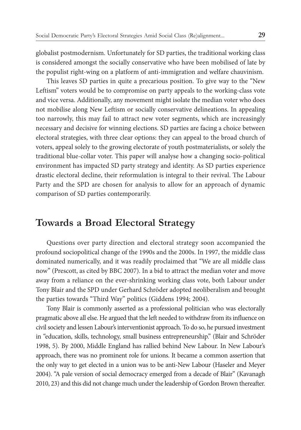globalist postmodernism. Unfortunately for SD parties, the traditional working class is considered amongst the socially conservative who have been mobilised of late by the populist right-wing on a platform of anti-immigration and welfare chauvinism.

This leaves SD parties in quite a precarious position. To give way to the "New Leftism" voters would be to compromise on party appeals to the working-class vote and vice versa. Additionally, any movement might isolate the median voter who does not mobilise along New Leftism or socially conservative delineations. In appealing too narrowly, this may fail to attract new voter segments, which are increasingly necessary and decisive for winning elections. SD parties are facing a choice between electoral strategies, with three clear options: they can appeal to the broad church of voters, appeal solely to the growing electorate of youth postmaterialists, or solely the traditional blue-collar voter. This paper will analyse how a changing socio-political environment has impacted SD party strategy and identity. As SD parties experience drastic electoral decline, their reformulation is integral to their revival. The Labour Party and the SPD are chosen for analysis to allow for an approach of dynamic comparison of SD parties contemporarily.

### **Towards a Broad Electoral Strategy**

Questions over party direction and electoral strategy soon accompanied the profound sociopolitical change of the 1990s and the 2000s. In 1997, the middle class dominated numerically, and it was readily proclaimed that "We are all middle class now" (Prescott, as cited by BBC 2007). In a bid to attract the median voter and move away from a reliance on the ever-shrinking working class vote, both Labour under Tony Blair and the SPD under Gerhard Schröder adopted neoliberalism and brought the parties towards "Third Way" politics (Giddens 1994; 2004).

Tony Blair is commonly asserted as a professional politician who was electorally pragmatic above all else. He argued that the left needed to withdraw from its influence on civil society and lessen Labour's interventionist approach. To do so, he pursued investment in "education, skills, technology, small business entrepreneurship." (Blair and Schröder 1998, 5). By 2000, Middle England has rallied behind New Labour. In New Labour's approach, there was no prominent role for unions. It became a common assertion that the only way to get elected in a union was to be anti-New Labour (Haseler and Meyer 2004). "A pale version of social democracy emerged from a decade of Blair" (Kavanagh 2010, 23) and this did not change much under the leadership of Gordon Brown thereafter.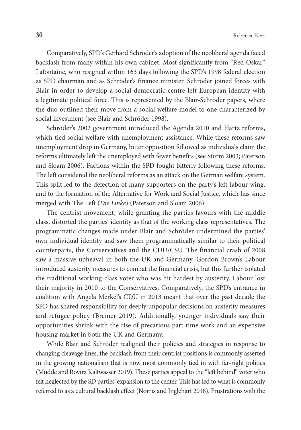Comparatively, SPD's Gerhard Schröder's adoption of the neoliberal agenda faced backlash from many within his own cabinet. Most significantly from "Red Oskar" Lafontaine, who resigned within 163 days following the SPD's 1998 federal election as SPD chairman and as Schröder's finance minister. Schröder joined forces with Blair in order to develop a social-democratic centre-left European identity with a legitimate political force. This is represented by the Blair-Schröder papers, where the duo outlined their move from a social welfare model to one characterized by social investment (see Blair and Schröder 1998).

Schröder's 2002 government introduced the Agenda 2010 and Hartz reforms, which tied social welfare with unemployment assistance. While these reforms saw unemployment drop in Germany, bitter opposition followed as individuals claim the reforms ultimately left the unemployed with fewer benefits (see Sturm 2003; Paterson and Sloam 2006). Factions within the SPD fought bitterly following these reforms. The left considered the neoliberal reforms as an attack on the German welfare system. This split led to the defection of many supporters on the party's left-labour wing, and to the formation of the Alternative for Work and Social Justice, which has since merged with The Left (*Die Linke*) (Paterson and Sloam 2006).

The centrist movement, while granting the parties favours with the middle class, distorted the parties' identity as that of the working class representatives. The programmatic changes made under Blair and Schröder undermined the parties' own individual identity and saw them programmatically similar to their political counterparts, the Conservatives and the CDU/CSU. The financial crash of 2008 saw a massive upheaval in both the UK and Germany. Gordon Brown's Labour introduced austerity measures to combat the financial crisis, but this further isolated the traditional working-class voter who was hit hardest by austerity. Labour lost their majority in 2010 to the Conservatives. Comparatively, the SPD's entrance in coalition with Angela Merkel's CDU in 2013 meant that over the past decade the SPD has shared responsibility for deeply unpopular decisions on austerity measures and refugee policy (Bremer 2019). Additionally, younger individuals saw their opportunities shrink with the rise of precarious part-time work and an expensive housing market in both the UK and Germany.

While Blair and Schröder realigned their policies and strategies in response to changing cleavage lines, the backlash from their centrist positions is commonly asserted in the growing nationalism that is now most commonly tied in with far-right politics (Mudde and Rovira Kaltwasser 2019). These parties appeal to the "left behind" voter who felt neglected by the SD parties' expansion to the center. This has led to what is commonly referred to as a cultural backlash effect (Norris and Inglehart 2018). Frustrations with the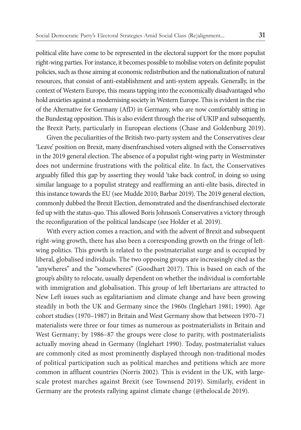political elite have come to be represented in the electoral support for the more populist right-wing parties. For instance, it becomes possible to mobilise voters on definite populist policies, such as those aiming at economic redistribution and the nationalization of natural resources, that consist of anti-establishment and anti-system appeals. Generally, in the context of Western Europe, this means tapping into the economically disadvantaged who hold anxieties against a modernising society in Western Europe. This is evident in the rise of the Alternative for Germany (AfD) in Germany, who are now comfortably sitting in the Bundestag opposition. This is also evident through the rise of UKIP and subsequently, the Brexit Party, particularly in European elections (Chase and Goldenburg 2019).

Given the peculiarities of the British two-party system and the Conservatives clear 'Leave' position on Brexit, many disenfranchised voters aligned with the Conservatives in the 2019 general election. The absence of a populist right-wing party in Westminster does not undermine frustrations with the political elite. In fact, the Conservatives arguably filled this gap by asserting they would 'take back control', in doing so using similar language to a populist strategy and reaffirming an anti-elite basis, directed in this instance towards the EU (see Mudde 2010; Barbar 2019). The 2019 general election, commonly dubbed the Brexit Election, demonstrated and the disenfranchised electorate fed up with the status-quo. This allowed Boris Johnson's Conservatives a victory through the reconfiguration of the political landscape (see Holder et al. 2019).

With every action comes a reaction, and with the advent of Brexit and subsequent right-wing growth, there has also been a corresponding growth on the fringe of leftwing politics. This growth is related to the postmaterialist surge and is occupied by liberal, globalised individuals. The two opposing groups are increasingly cited as the "anywheres" and the "somewheres" (Goodhart 2017). This is based on each of the group's ability to relocate, usually dependent on whether the individual is comfortable with immigration and globalisation. This group of left libertarians are attracted to New Left issues such as egalitarianism and climate change and have been growing steadily in both the UK and Germany since the 1960s (Inglehart 1981; 1990). Age cohort studies (1970–1987) in Britain and West Germany show that between 1970–71 materialists were three or four times as numerous as postmaterialists in Britain and West Germany; by 1986–87 the groups were close to parity, with postmaterialists actually moving ahead in Germany (Inglehart 1990). Today, postmaterialist values are commonly cited as most prominently displayed through non-traditional modes of political participation such as political marches and petitions which are more common in affluent countries (Norris 2002). This is evident in the UK, with largescale protest marches against Brexit (see Townsend 2019). Similarly, evident in Germany are the protests rallying against climate change (@thelocal.de 2019).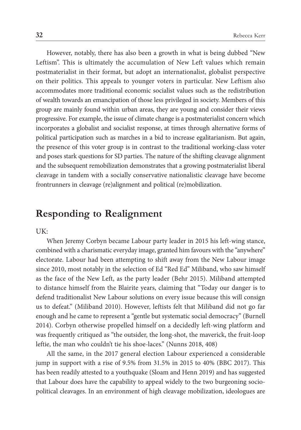However, notably, there has also been a growth in what is being dubbed "New Leftism". This is ultimately the accumulation of New Left values which remain postmaterialist in their format, but adopt an internationalist, globalist perspective on their politics. This appeals to younger voters in particular. New Leftism also accommodates more traditional economic socialist values such as the redistribution of wealth towards an emancipation of those less privileged in society. Members of this group are mainly found within urban areas, they are young and consider their views progressive. For example, the issue of climate change is a postmaterialist concern which incorporates a globalist and socialist response, at times through alternative forms of political participation such as marches in a bid to increase egalitarianism. But again, the presence of this voter group is in contrast to the traditional working-class voter and poses stark questions for SD parties. The nature of the shifting cleavage alignment and the subsequent remobilization demonstrates that a growing postmaterialist liberal cleavage in tandem with a socially conservative nationalistic cleavage have become frontrunners in cleavage (re)alignment and political (re)mobilization.

### **Responding to Realignment**

UK:

When Jeremy Corbyn became Labour party leader in 2015 his left-wing stance, combined with a charismatic everyday image, granted him favours with the "anywhere" electorate. Labour had been attempting to shift away from the New Labour image since 2010, most notably in the selection of Ed "Red Ed" Miliband, who saw himself as the face of the New Left, as the party leader (Behr 2015). Miliband attempted to distance himself from the Blairite years, claiming that "Today our danger is to defend traditionalist New Labour solutions on every issue because this will consign us to defeat." (Miliband 2010). However, leftists felt that Miliband did not go far enough and he came to represent a "gentle but systematic social democracy" (Burnell 2014). Corbyn otherwise propelled himself on a decidedly left-wing platform and was frequently critiqued as "the outsider, the long-shot, the maverick, the fruit-loop leftie, the man who couldn't tie his shoe-laces." (Nunns 2018, 408)

All the same, in the 2017 general election Labour experienced a considerable jump in support with a rise of 9.5% from 31.5% in 2015 to 40% (BBC 2017). This has been readily attested to a youthquake (Sloam and Henn 2019) and has suggested that Labour does have the capability to appeal widely to the two burgeoning sociopolitical cleavages. In an environment of high cleavage mobilization, ideologues are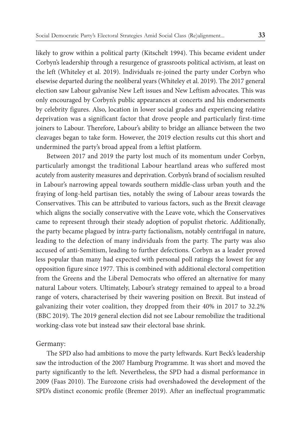likely to grow within a political party (Kitschelt 1994). This became evident under Corbyn's leadership through a resurgence of grassroots political activism, at least on the left (Whiteley et al. 2019). Individuals re-joined the party under Corbyn who elsewise departed during the neoliberal years (Whiteley et al. 2019). The 2017 general election saw Labour galvanise New Left issues and New Leftism advocates. This was only encouraged by Corbyn's public appearances at concerts and his endorsements by celebrity figures. Also, location in lower social grades and experiencing relative deprivation was a significant factor that drove people and particularly first-time joiners to Labour. Therefore, Labour's ability to bridge an alliance between the two cleavages began to take form. However, the 2019 election results cut this short and undermined the party's broad appeal from a leftist platform.

Between 2017 and 2019 the party lost much of its momentum under Corbyn, particularly amongst the traditional Labour heartland areas who suffered most acutely from austerity measures and deprivation. Corbyn's brand of socialism resulted in Labour's narrowing appeal towards southern middle-class urban youth and the fraying of long-held partisan ties, notably the swing of Labour areas towards the Conservatives. This can be attributed to various factors, such as the Brexit cleavage which aligns the socially conservative with the Leave vote, which the Conservatives came to represent through their steady adoption of populist rhetoric. Additionally, the party became plagued by intra-party factionalism, notably centrifugal in nature, leading to the defection of many individuals from the party. The party was also accused of anti-Semitism, leading to further defections. Corbyn as a leader proved less popular than many had expected with personal poll ratings the lowest for any opposition figure since 1977. This is combined with additional electoral competition from the Greens and the Liberal Democrats who offered an alternative for many natural Labour voters. Ultimately, Labour's strategy remained to appeal to a broad range of voters, characterised by their wavering position on Brexit. But instead of galvanizing their voter coalition, they dropped from their 40% in 2017 to 32.2% (BBC 2019). The 2019 general election did not see Labour remobilize the traditional working-class vote but instead saw their electoral base shrink.

#### Germany:

The SPD also had ambitions to move the party leftwards. Kurt Beck's leadership saw the introduction of the 2007 Hamburg Programme. It was short and moved the party significantly to the left. Nevertheless, the SPD had a dismal performance in 2009 (Faas 2010). The Eurozone crisis had overshadowed the development of the SPD's distinct economic profile (Bremer 2019). After an ineffectual programmatic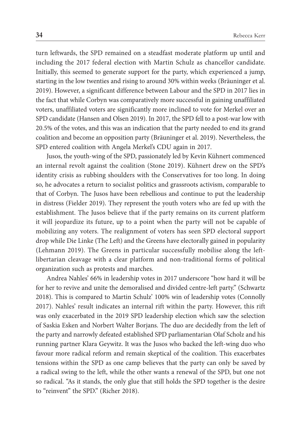turn leftwards, the SPD remained on a steadfast moderate platform up until and including the 2017 federal election with Martin Schulz as chancellor candidate. Initially, this seemed to generate support for the party, which experienced a jump, starting in the low twenties and rising to around 30% within weeks (Bräuninger et al. 2019). However, a significant difference between Labour and the SPD in 2017 lies in the fact that while Corbyn was comparatively more successful in gaining unaffiliated voters, unaffiliated voters are significantly more inclined to vote for Merkel over an SPD candidate (Hansen and Olsen 2019). In 2017, the SPD fell to a post-war low with 20.5% of the votes, and this was an indication that the party needed to end its grand coalition and become an opposition party (Bräuninger et al. 2019). Nevertheless, the SPD entered coalition with Angela Merkel's CDU again in 2017.

Jusos, the youth-wing of the SPD, passionately led by Kevin Kühnert commenced an internal revolt against the coalition (Stone 2019). Kühnert drew on the SPD's identity crisis as rubbing shoulders with the Conservatives for too long. In doing so, he advocates a return to socialist politics and grassroots activism, comparable to that of Corbyn. The Jusos have been rebellious and continue to put the leadership in distress (Fielder 2019). They represent the youth voters who are fed up with the establishment. The Jusos believe that if the party remains on its current platform it will jeopardize its future, up to a point when the party will not be capable of mobilizing any voters. The realignment of voters has seen SPD electoral support drop while Die Linke (The Left) and the Greens have electorally gained in popularity (Lehmann 2019). The Greens in particular successfully mobilise along the leftlibertarian cleavage with a clear platform and non-traditional forms of political organization such as protests and marches.

Andrea Nahles' 66% in leadership votes in 2017 underscore "how hard it will be for her to revive and unite the demoralised and divided centre-left party." (Schwartz 2018). This is compared to Martin Schulz' 100% win of leadership votes (Connolly 2017). Nahles' result indicates an internal rift within the party. However, this rift was only exacerbated in the 2019 SPD leadership election which saw the selection of Saskia Esken and Norbert Walter Borjans. The duo are decidedly from the left of the party and narrowly defeated established SPD parliamentarian Olaf Scholz and his running partner Klara Geywitz. It was the Jusos who backed the left-wing duo who favour more radical reform and remain skeptical of the coalition. This exacerbates tensions within the SPD as one camp believes that the party can only be saved by a radical swing to the left, while the other wants a renewal of the SPD, but one not so radical. "As it stands, the only glue that still holds the SPD together is the desire to "reinvent" the SPD." (Richer 2018).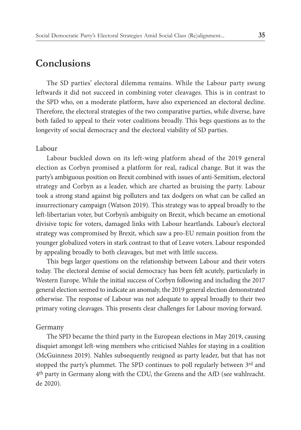### **Conclusions**

The SD parties' electoral dilemma remains. While the Labour party swung leftwards it did not succeed in combining voter cleavages. This is in contrast to the SPD who, on a moderate platform, have also experienced an electoral decline. Therefore, the electoral strategies of the two comparative parties, while diverse, have both failed to appeal to their voter coalitions broadly. This begs questions as to the longevity of social democracy and the electoral viability of SD parties.

#### Labour

Labour buckled down on its left-wing platform ahead of the 2019 general election as Corbyn promised a platform for real, radical change. But it was the party's ambiguous position on Brexit combined with issues of anti-Semitism, electoral strategy and Corbyn as a leader, which are charted as bruising the party. Labour took a strong stand against big polluters and tax dodgers on what can be called an insurrectionary campaign (Watson 2019). This strategy was to appeal broadly to the left-libertarian voter, but Corbyn's ambiguity on Brexit, which became an emotional divisive topic for voters, damaged links with Labour heartlands. Labour's electoral strategy was compromised by Brexit, which saw a pro-EU remain position from the younger globalized voters in stark contrast to that of Leave voters. Labour responded by appealing broadly to both cleavages, but met with little success.

This begs larger questions on the relationship between Labour and their voters today. The electoral demise of social democracy has been felt acutely, particularly in Western Europe. While the initial success of Corbyn following and including the 2017 general election seemed to indicate an anomaly, the 2019 general election demonstrated otherwise. The response of Labour was not adequate to appeal broadly to their two primary voting cleavages. This presents clear challenges for Labour moving forward.

#### Germany

The SPD became the third party in the European elections in May 2019, causing disquiet amongst left-wing members who criticised Nahles for staying in a coalition (McGuinness 2019). Nahles subsequently resigned as party leader, but that has not stopped the party's plummet. The SPD continues to poll regularly between 3rd and 4th party in Germany along with the CDU, the Greens and the AfD (see wahlreacht. de 2020).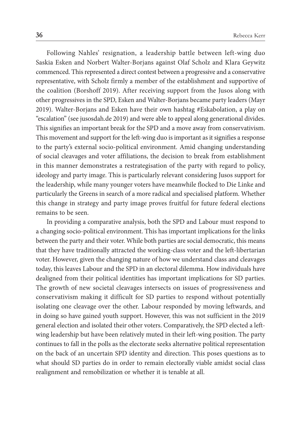Following Nahles' resignation, a leadership battle between left-wing duo Saskia Esken and Norbert Walter-Borjans against Olaf Scholz and Klara Geywitz commenced. This represented a direct contest between a progressive and a conservative representative, with Scholz firmly a member of the establishment and supportive of the coalition (Borshoff 2019). After receiving support from the Jusos along with other progressives in the SPD, Esken and Walter-Borjans became party leaders (Mayr 2019). Walter-Borjans and Esken have their own hashtag #Eskabolation, a play on "escalation" (see jusosdah.de 2019) and were able to appeal along generational divides. This signifies an important break for the SPD and a move away from conservativism. This movement and support for the left-wing duo is important as it signifies a response to the party's external socio-political environment. Amid changing understanding of social cleavages and voter affiliations, the decision to break from establishment in this manner demonstrates a restrategisation of the party with regard to policy, ideology and party image. This is particularly relevant considering Jusos support for the leadership, while many younger voters have meanwhile flocked to Die Linke and particularly the Greens in search of a more radical and specialised platform. Whether this change in strategy and party image proves fruitful for future federal elections remains to be seen.

In providing a comparative analysis, both the SPD and Labour must respond to a changing socio-political environment. This has important implications for the links between the party and their voter. While both parties are social democratic, this means that they have traditionally attracted the working-class voter and the left-libertarian voter. However, given the changing nature of how we understand class and cleavages today, this leaves Labour and the SPD in an electoral dilemma. How individuals have dealigned from their political identities has important implications for SD parties. The growth of new societal cleavages intersects on issues of progressiveness and conservativism making it difficult for SD parties to respond without potentially isolating one cleavage over the other. Labour responded by moving leftwards, and in doing so have gained youth support. However, this was not sufficient in the 2019 general election and isolated their other voters. Comparatively, the SPD elected a leftwing leadership but have been relatively muted in their left-wing position. The party continues to fall in the polls as the electorate seeks alternative political representation on the back of an uncertain SPD identity and direction. This poses questions as to what should SD parties do in order to remain electorally viable amidst social class realignment and remobilization or whether it is tenable at all.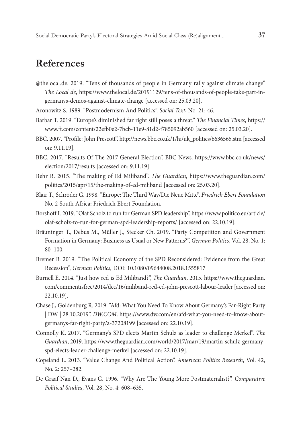### **References**

@thelocal.de. 2019. "Tens of thousands of people in Germany rally against climate change" *The Local de*, https://www.thelocal.de/20191129/tens-of-thousands-of-people-take-part-ingermanys-demos-against-climate-change [accessed on: 25.03.20].

Aronowitz S. 1989. "Postmodernism And Politics". *Social Text*, No. 21: 46.

- Barbar T. 2019. "Europe's diminished far right still poses a threat." *The Financial Times*, https:// www.ft.com/content/22efb0e2-7bcb-11e9-81d2-f785092ab560 [accessed on: 25.03.20].
- BBC. 2007. "Profile: John Prescott". http://news.bbc.co.uk/1/hi/uk\_politics/6636565.stm [accessed on: 9.11.19].
- BBC. 2017. "Results Of The 2017 General Election". BBC News. https://www.bbc.co.uk/news/ election/2017/results [accessed on: 9.11.19].
- Behr R. 2015. "The making of Ed Miliband". *The Guardian*, https://www.theguardian.com/ politics/2015/apr/15/the-making-of-ed-miliband [accessed on: 25.03.20].
- Blair T., Schröder G. 1998. "Europe: The Third Way/Die Neue Mitte", *Friedrich Ebert Foundation* No. 2 South Africa: Friedrich Ebert Foundation.
- Borshoff I. 2019. "Olaf Scholz to run for German SPD leadership". https://www.politico.eu/article/ olaf-scholz-to-run-for-german-spd-leadership-reports/ [accessed on: 22.10.19].
- Bräuninger T., Debus M., Müller J., Stecker Ch. 2019. "Party Competition and Government Formation in Germany: Business as Usual or New Patterns?", *German Politics*, Vol. 28, No. 1: 80–100.
- Bremer B. 2019. "The Political Economy of the SPD Reconsidered: Evidence from the Great Recession", *German Politics*, DOI: 10.1080/09644008.2018.1555817
- Burnell E. 2014. "Just how red is Ed Miliband?", *The Guardian*, 2015. https://www.theguardian. com/commentisfree/2014/dec/16/miliband-red-ed-john-prescott-labour-leader [accessed on: 22.10.19].
- Chase J., Goldenburg R. 2019. "Afd: What You Need To Know About Germany's Far-Right Party | DW | 28.10.2019". *DW.COM*. https://www.dw.com/en/afd-what-you-need-to-know-aboutgermanys-far-right-party/a-37208199 [accessed on: 22.10.19].
- Connolly K. 2017. "Germany's SPD elects Martin Schulz as leader to challenge Merkel". *The Guardian*, 2019. https://www.theguardian.com/world/2017/mar/19/martin-schulz-germanyspd-elects-leader-challenge-merkel [accessed on: 22.10.19].
- Copeland L. 2013. "Value Change And Political Action". *American Politics Research*, Vol. 42, No. 2: 257–282.
- De Graaf Nan D., Evans G. 1996. "Why Are The Young More Postmaterialist?". *Comparative Political Studie*s, Vol. 28, No. 4: 608–635.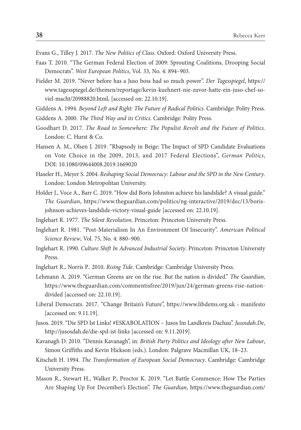Evans G., Tilley J. 2017. *The New Politics of Class*. Oxford: Oxford University Press.

- Faas T. 2010. "The German Federal Election of 2009: Sprouting Coalitions, Drooping Social Democrats". *West European Politics*, Vol. 33, No. 4: 894–903.
- Fielder M. 2019. "Never before has a Juso boss had so much power". *Der Tagesspiegel*, https:// www.tagesspiegel.de/themen/reportage/kevin-kuehnert-nie-zuvor-hatte-ein-juso-chef-soviel-macht/20988820.html, [accessed on: 22.10.19].
- Giddens A. 1994. *Beyond Left and Right: The Future of Radical Politics*. Cambridge: Polity Press.
- Giddens A. 2000. *The Third Way and its Critics*. Cambridge: Polity Press.
- Goodhart D. 2017. *The Road to Somewhere: The Populist Revolt and the Future of Politics*. London: C. Hurst & Co.
- Hansen A. M., Olsen J. 2019. "Rhapsody in Beige: The Impact of SPD Candidate Evaluations on Vote Choice in the 2009, 2013, and 2017 Federal Elections", *German Politics*, DOI: 10.1080/09644008.2019.1669020
- Haseler H., Meyer S. 2004. *Reshaping Social Democracy: Labour and the SPD in the New Century*. London: London Metropolitan University.
- Holder J., Voce A., Barr C. 2019. "How did Boris Johnston achieve his landslide? A visual guide." *The Guardian*, https://www.theguardian.com/politics/ng-interactive/2019/dec/13/borisjohnson-achieves-landslide-victory-visual-guide [accessed on: 22.10.19].
- Inglehart R. 1977. *The Silent Revolution*. Princeton: Princeton University Press.
- Inglehart R. 1981. "Post-Materialism In An Environment Of Insecurity". *American Political Science Review*, Vol. 75, No. 4: 880–900.
- Inglehart R. 1990. *Culture Shift In Advanced Industrial Society*. Princeton: Princeton University Press.
- Inglehart R., Norris P.. 2010. *Rising Tide*. Cambridge: Cambridge University Press.
- Lehmann A. 2019. "German Greens are on the rise. But the nation is divided." *The Guardian*, https://www.theguardian.com/commentisfree/2019/jun/24/german-greens-rise-nationdivided [accessed on: 22.10.19].
- Liberal Democrats. 2017. "Change Britain's Future", https://www.libdems.org.uk › manifesto [accessed on: 9.11.19].
- Jusos. 2019. "Die SPD Ist Links! #ESKABOLATION Jusos Im Landkreis Dachau". *Jusosdah.De*, http://jusosdah.de/die-spd-ist-links [accessed on: 9.11.2019].
- Kavanagh D. 2010. "Dennis Kavanagh", in: *British Party Politics and Ideology after New Labour*, Simon Griffiths and Kevin Hickson (eds.). London: Palgrave Macmillan UK, 18–23.
- Kitschelt H. 1994. *The Transformation of European Social Democracy*. Cambridge: Cambridge University Press.
- Mason R., Stewart H., Walker P., Proctor K. 2019. "Let Battle Commence: How The Parties Are Shaping Up For December's Election". *The Guardian*, https://www.theguardian.com/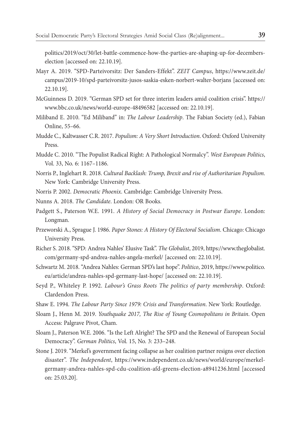politics/2019/oct/30/let-battle-commence-how-the-parties-are-shaping-up-for-decemberselection [accessed on: 22.10.19].

- Mayr A. 2019. "SPD-Parteivorsitz: Der Sanders-Effekt". *ZEIT Campus*, https://www.zeit.de/ campus/2019-10/spd-parteivorsitz-jusos-saskia-esken-norbert-walter-borjans [accessed on: 22.10.19].
- McGuinness D. 2019. "German SPD set for three interim leaders amid coalition crisis". https:// www.bbc.co.uk/news/world-europe-48496582 [accessed on: 22.10.19].
- Miliband E. 2010. "Ed Miliband" in: *The Labour Leadership*. The Fabian Society (ed.), Fabian Online, 55–66.
- Mudde C., Kaltwasser C.R. 2017. *Populism: A Very Short Introduction*. Oxford: Oxford University Press.
- Mudde C. 2010. "The Populist Radical Right: A Pathological Normalcy". *West European Politics*, Vol. 33, No. 6: 1167–1186.
- Norris P., Inglehart R. 2018. *Cultural Backlash: Trump, Brexit and rise of Authoritarian Populism*. New York: Cambridge University Press.
- Norris P. 2002. *Democratic Phoenix*. Cambridge: Cambridge University Press.
- Nunns A. 2018. *The Candidate*. London: OR Books.
- Padgett S., Paterson W.E. 1991. *A History of Social Democracy in Postwar Europe*. London: Longman.
- Przeworski A., Sprague J. 1986. *Paper Stones: A History Of Electoral Socialism*. Chicago: Chicago University Press.
- Richer S. 2018. "SPD: Andrea Nahles' Elusive Task". *The Globalist*, 2019, https://www.theglobalist. com/germany-spd-andrea-nahles-angela-merkel/ [accessed on: 22.10.19].
- Schwartz M. 2018. "Andrea Nahles: German SPD's last hope". *Politico*, 2019, https://www.politico. eu/article/andrea-nahles-spd-germany-last-hope/ [accessed on: 22.10.19].
- Seyd P., Whiteley P. 1992. *Labour's Grass Roots The politics of party membership*. Oxford: Clardendon Press.
- Shaw E. 1994. *The Labour Party Since 1979: Crisis and Transformation*. New York: Routledge.
- Sloam J., Henn M. 2019. *Youthquake 2017, The Rise of Young Cosmopolitans in Britain*. Open Access: Palgrave Pivot, Cham.
- Sloam J., Paterson W.E. 2006. "Is the Left Alright? The SPD and the Renewal of European Social Democracy". *German Politics*, Vol. 15, No. 3: 233–248.
- Stone J. 2019. "Merkel's government facing collapse as her coalition partner resigns over election disaster". *The Independent*, https://www.independent.co.uk/news/world/europe/merkelgermany-andrea-nahles-spd-cdu-coalition-afd-greens-election-a8941236.html [accessed on: 25.03.20].